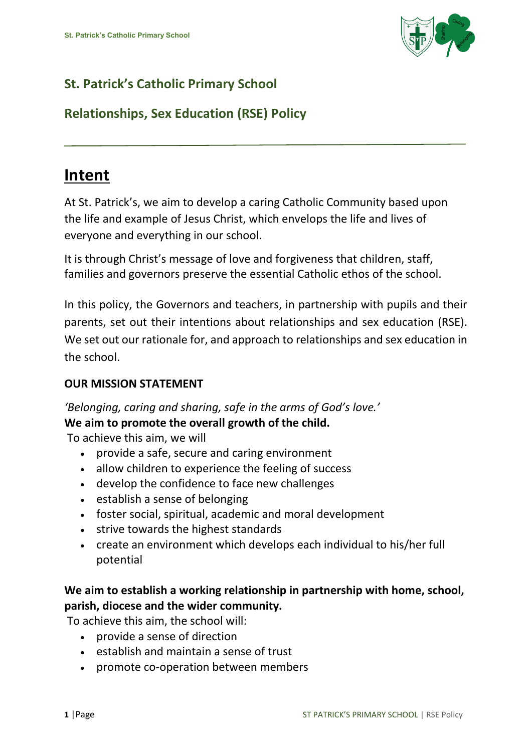

# **St. Patrick's Catholic Primary School**

# **Relationships, Sex Education (RSE) Policy**

# **Intent**

At St. Patrick's, we aim to develop a caring Catholic Community based upon the life and example of Jesus Christ, which envelops the life and lives of everyone and everything in our school.

It is through Christ's message of love and forgiveness that children, staff, families and governors preserve the essential Catholic ethos of the school.

In this policy, the Governors and teachers, in partnership with pupils and their parents, set out their intentions about relationships and sex education (RSE). We set out our rationale for, and approach to relationships and sex education in the school.

# **OUR MISSION STATEMENT**

*'Belonging, caring and sharing, safe in the arms of God's love.'* **We aim to promote the overall growth of the child.**

To achieve this aim, we will

- provide a safe, secure and caring environment
- allow children to experience the feeling of success
- develop the confidence to face new challenges
- establish a sense of belonging
- foster social, spiritual, academic and moral development
- strive towards the highest standards
- create an environment which develops each individual to his/her full potential

# **We aim to establish a working relationship in partnership with home, school, parish, diocese and the wider community.**

To achieve this aim, the school will:

- provide a sense of direction
- establish and maintain a sense of trust
- promote co-operation between members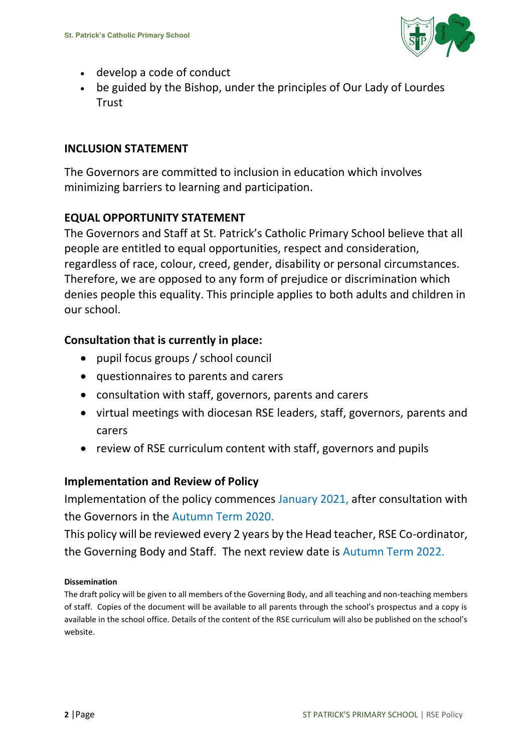

- develop a code of conduct
- be guided by the Bishop, under the principles of Our Lady of Lourdes **Trust**

## **INCLUSION STATEMENT**

The Governors are committed to inclusion in education which involves minimizing barriers to learning and participation.

# **EQUAL OPPORTUNITY STATEMENT**

The Governors and Staff at St. Patrick's Catholic Primary School believe that all people are entitled to equal opportunities, respect and consideration, regardless of race, colour, creed, gender, disability or personal circumstances. Therefore, we are opposed to any form of prejudice or discrimination which denies people this equality. This principle applies to both adults and children in our school.

# **Consultation that is currently in place:**

- pupil focus groups / school council
- questionnaires to parents and carers
- consultation with staff, governors, parents and carers
- virtual meetings with diocesan RSE leaders, staff, governors, parents and carers
- review of RSE curriculum content with staff, governors and pupils

# **Implementation and Review of Policy**

Implementation of the policy commences January 2021, after consultation with the Governors in the Autumn Term 2020.

This policy will be reviewed every 2 years by the Head teacher, RSE Co-ordinator, the Governing Body and Staff. The next review date is Autumn Term 2022.

#### **Dissemination**

The draft policy will be given to all members of the Governing Body, and all teaching and non-teaching members of staff. Copies of the document will be available to all parents through the school's prospectus and a copy is available in the school office. Details of the content of the RSE curriculum will also be published on the school's website.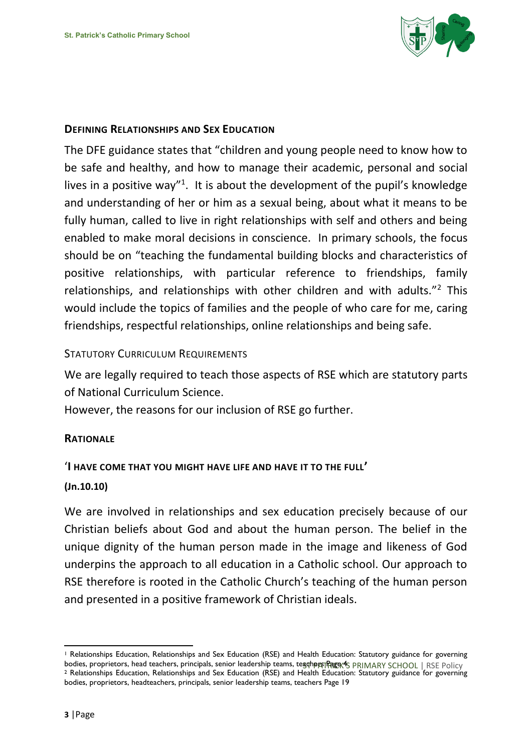

#### **DEFINING RELATIONSHIPS AND SEX EDUCATION**

The DFE guidance states that "children and young people need to know how to be safe and healthy, and how to manage their academic, personal and social lives in a positive way"<sup>1</sup>. It is about the development of the pupil's knowledge and understanding of her or him as a sexual being, about what it means to be fully human, called to live in right relationships with self and others and being enabled to make moral decisions in conscience. In primary schools, the focus should be on "teaching the fundamental building blocks and characteristics of positive relationships, with particular reference to friendships, family relationships, and relationships with other children and with adults."<sup>2</sup> This would include the topics of families and the people of who care for me, caring friendships, respectful relationships, online relationships and being safe.

#### STATUTORY CURRICULUM REQUIREMENTS

We are legally required to teach those aspects of RSE which are statutory parts of National Curriculum Science.

However, the reasons for our inclusion of RSE go further.

#### **RATIONALE**

#### '**I HAVE COME THAT YOU MIGHT HAVE LIFE AND HAVE IT TO THE FULL'**

#### **(Jn.10.10)**

We are involved in relationships and sex education precisely because of our Christian beliefs about God and about the human person. The belief in the unique dignity of the human person made in the image and likeness of God underpins the approach to all education in a Catholic school. Our approach to RSE therefore is rooted in the Catholic Church's teaching of the human person and presented in a positive framework of Christian ideals.

1

bodies, proprietors, head teachers, principals, senior leadership teams, teachers Page 45 PRIMARY SCHOOL | RSE Policy <sup>1</sup> Relationships Education, Relationships and Sex Education (RSE) and Health Education: Statutory guidance for governing <sup>2</sup> Relationships Education, Relationships and Sex Education (RSE) and Health Education: Statutory guidance for governing bodies, proprietors, headteachers, principals, senior leadership teams, teachers Page 19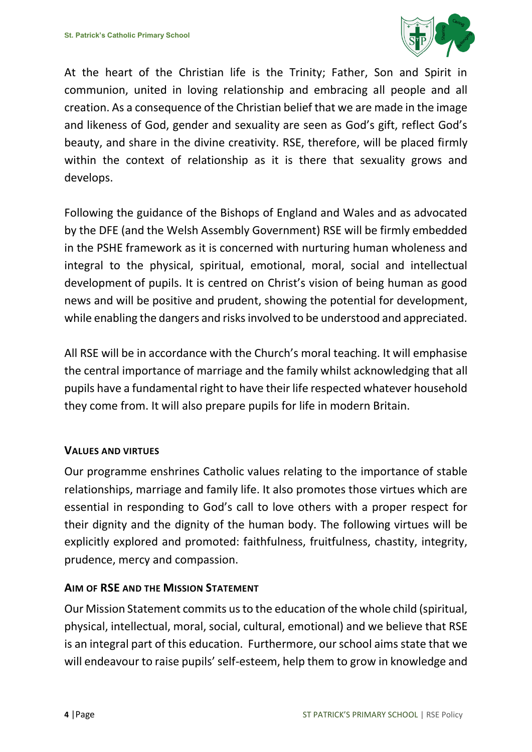

At the heart of the Christian life is the Trinity; Father, Son and Spirit in communion, united in loving relationship and embracing all people and all creation. As a consequence of the Christian belief that we are made in the image and likeness of God, gender and sexuality are seen as God's gift, reflect God's beauty, and share in the divine creativity. RSE, therefore, will be placed firmly within the context of relationship as it is there that sexuality grows and develops.

Following the guidance of the Bishops of England and Wales and as advocated by the DFE (and the Welsh Assembly Government) RSE will be firmly embedded in the PSHE framework as it is concerned with nurturing human wholeness and integral to the physical, spiritual, emotional, moral, social and intellectual development of pupils. It is centred on Christ's vision of being human as good news and will be positive and prudent, showing the potential for development, while enabling the dangers and risks involved to be understood and appreciated.

All RSE will be in accordance with the Church's moral teaching. It will emphasise the central importance of marriage and the family whilst acknowledging that all pupils have a fundamental right to have their life respected whatever household they come from. It will also prepare pupils for life in modern Britain.

# **VALUES AND VIRTUES**

Our programme enshrines Catholic values relating to the importance of stable relationships, marriage and family life. It also promotes those virtues which are essential in responding to God's call to love others with a proper respect for their dignity and the dignity of the human body. The following virtues will be explicitly explored and promoted: faithfulness, fruitfulness, chastity, integrity, prudence, mercy and compassion.

# **AIM OF RSE AND THE MISSION STATEMENT**

Our Mission Statement commits us to the education of the whole child (spiritual, physical, intellectual, moral, social, cultural, emotional) and we believe that RSE is an integral part of this education. Furthermore, our school aims state that we will endeavour to raise pupils' self-esteem, help them to grow in knowledge and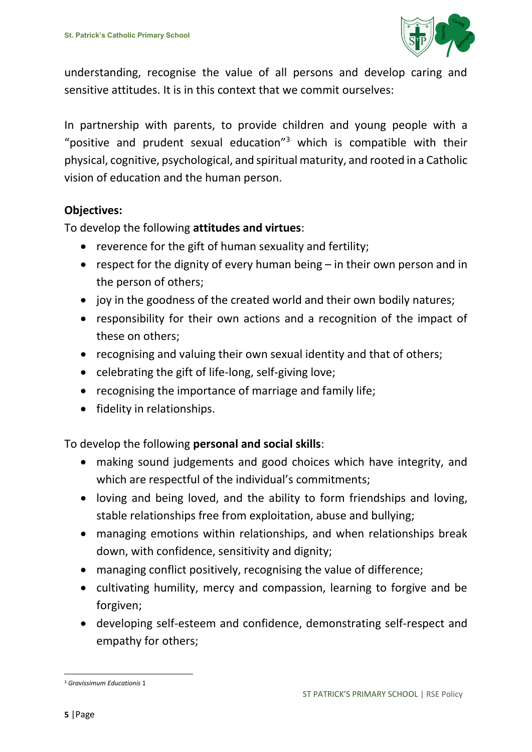

understanding, recognise the value of all persons and develop caring and sensitive attitudes. It is in this context that we commit ourselves:

In partnership with parents, to provide children and young people with a "positive and prudent sexual education" $3$  which is compatible with their physical, cognitive, psychological, and spiritual maturity, and rooted in a Catholic vision of education and the human person.

# **Objectives:**

To develop the following **attitudes and virtues**:

- reverence for the gift of human sexuality and fertility;
- respect for the dignity of every human being  $-$  in their own person and in the person of others;
- joy in the goodness of the created world and their own bodily natures;
- responsibility for their own actions and a recognition of the impact of these on others;
- recognising and valuing their own sexual identity and that of others;
- $\bullet$  celebrating the gift of life-long, self-giving love;
- recognising the importance of marriage and family life;
- fidelity in relationships.

To develop the following **personal and social skills**:

- making sound judgements and good choices which have integrity, and which are respectful of the individual's commitments;
- loving and being loved, and the ability to form friendships and loving, stable relationships free from exploitation, abuse and bullying;
- managing emotions within relationships, and when relationships break down, with confidence, sensitivity and dignity;
- managing conflict positively, recognising the value of difference;
- cultivating humility, mercy and compassion, learning to forgive and be forgiven;
- developing self-esteem and confidence, demonstrating self-respect and empathy for others;

 $\overline{a}$ 

<sup>3</sup> *Gravissimum Educationis* 1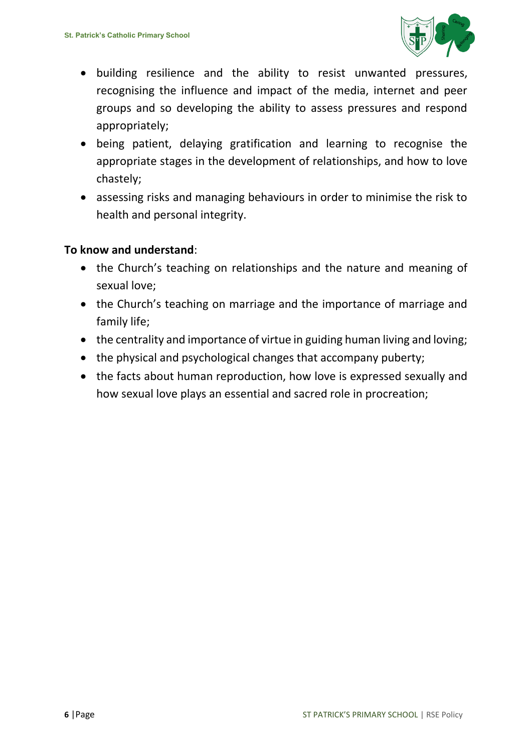

- building resilience and the ability to resist unwanted pressures, recognising the influence and impact of the media, internet and peer groups and so developing the ability to assess pressures and respond appropriately;
- being patient, delaying gratification and learning to recognise the appropriate stages in the development of relationships, and how to love chastely;
- assessing risks and managing behaviours in order to minimise the risk to health and personal integrity.

# **To know and understand**:

- the Church's teaching on relationships and the nature and meaning of sexual love;
- the Church's teaching on marriage and the importance of marriage and family life;
- the centrality and importance of virtue in guiding human living and loving;
- the physical and psychological changes that accompany puberty;
- the facts about human reproduction, how love is expressed sexually and how sexual love plays an essential and sacred role in procreation;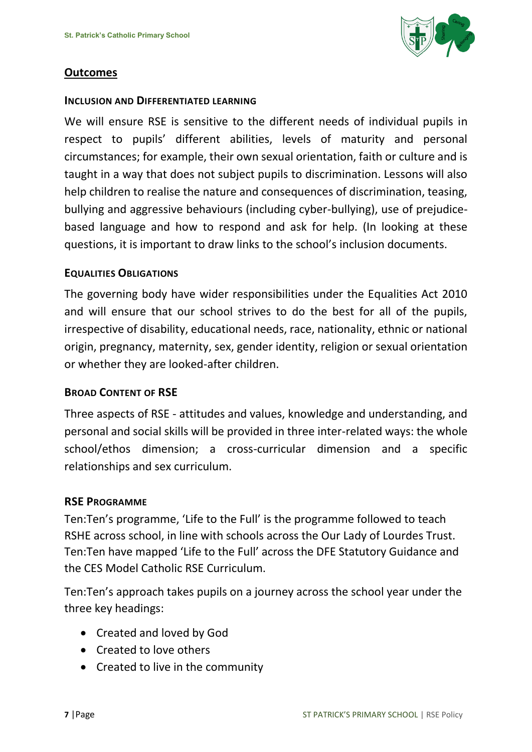

#### **Outcomes**

#### **INCLUSION AND DIFFERENTIATED LEARNING**

We will ensure RSE is sensitive to the different needs of individual pupils in respect to pupils' different abilities, levels of maturity and personal circumstances; for example, their own sexual orientation, faith or culture and is taught in a way that does not subject pupils to discrimination. Lessons will also help children to realise the nature and consequences of discrimination, teasing, bullying and aggressive behaviours (including cyber-bullying), use of prejudicebased language and how to respond and ask for help. (In looking at these questions, it is important to draw links to the school's inclusion documents.

#### **EQUALITIES OBLIGATIONS**

The governing body have wider responsibilities under the Equalities Act 2010 and will ensure that our school strives to do the best for all of the pupils, irrespective of disability, educational needs, race, nationality, ethnic or national origin, pregnancy, maternity, sex, gender identity, religion or sexual orientation or whether they are looked-after children.

#### **BROAD CONTENT OF RSE**

Three aspects of RSE - attitudes and values, knowledge and understanding, and personal and social skills will be provided in three inter-related ways: the whole school/ethos dimension; a cross-curricular dimension and a specific relationships and sex curriculum.

#### **RSE PROGRAMME**

Ten:Ten's programme, 'Life to the Full' is the programme followed to teach RSHE across school, in line with schools across the Our Lady of Lourdes Trust. Ten:Ten have mapped 'Life to the Full' across the DFE Statutory Guidance and the CES Model Catholic RSE Curriculum.

Ten:Ten's approach takes pupils on a journey across the school year under the three key headings:

- Created and loved by God
- Created to love others
- Created to live in the community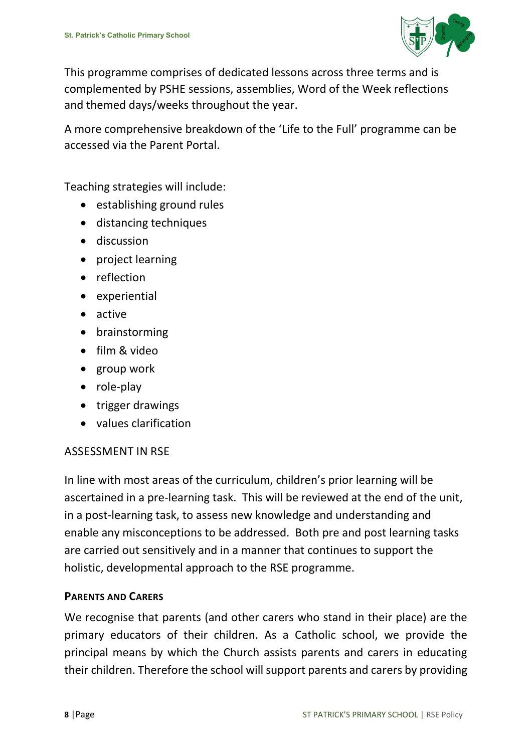

This programme comprises of dedicated lessons across three terms and is complemented by PSHE sessions, assemblies, Word of the Week reflections and themed days/weeks throughout the year.

A more comprehensive breakdown of the 'Life to the Full' programme can be accessed via the Parent Portal.

Teaching strategies will include:

- establishing ground rules
- distancing techniques
- **•** discussion
- project learning
- reflection
- experiential
- active
- brainstorming
- film & video
- group work
- role-play
- trigger drawings
- values clarification

# ASSESSMENT IN RSE

In line with most areas of the curriculum, children's prior learning will be ascertained in a pre-learning task. This will be reviewed at the end of the unit, in a post-learning task, to assess new knowledge and understanding and enable any misconceptions to be addressed. Both pre and post learning tasks are carried out sensitively and in a manner that continues to support the holistic, developmental approach to the RSE programme.

# **PARENTS AND CARERS**

We recognise that parents (and other carers who stand in their place) are the primary educators of their children. As a Catholic school, we provide the principal means by which the Church assists parents and carers in educating their children. Therefore the school will support parents and carers by providing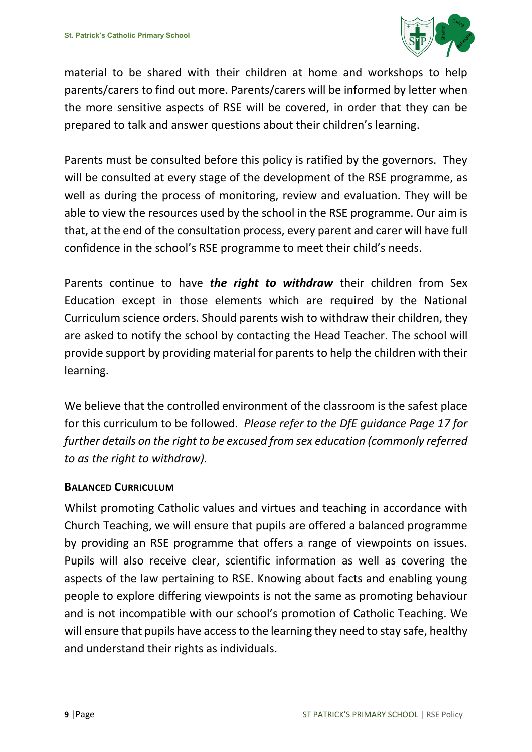

material to be shared with their children at home and workshops to help parents/carers to find out more. Parents/carers will be informed by letter when the more sensitive aspects of RSE will be covered, in order that they can be prepared to talk and answer questions about their children's learning.

Parents must be consulted before this policy is ratified by the governors. They will be consulted at every stage of the development of the RSE programme, as well as during the process of monitoring, review and evaluation. They will be able to view the resources used by the school in the RSE programme. Our aim is that, at the end of the consultation process, every parent and carer will have full confidence in the school's RSE programme to meet their child's needs.

Parents continue to have *the right to withdraw* their children from Sex Education except in those elements which are required by the National Curriculum science orders. Should parents wish to withdraw their children, they are asked to notify the school by contacting the Head Teacher. The school will provide support by providing material for parents to help the children with their learning.

We believe that the controlled environment of the classroom is the safest place for this curriculum to be followed. *Please refer to the DfE guidance Page 17 for further details on the right to be excused from sex education (commonly referred to as the right to withdraw).*

# **BALANCED CURRICULUM**

Whilst promoting Catholic values and virtues and teaching in accordance with Church Teaching, we will ensure that pupils are offered a balanced programme by providing an RSE programme that offers a range of viewpoints on issues. Pupils will also receive clear, scientific information as well as covering the aspects of the law pertaining to RSE. Knowing about facts and enabling young people to explore differing viewpoints is not the same as promoting behaviour and is not incompatible with our school's promotion of Catholic Teaching. We will ensure that pupils have access to the learning they need to stay safe, healthy and understand their rights as individuals.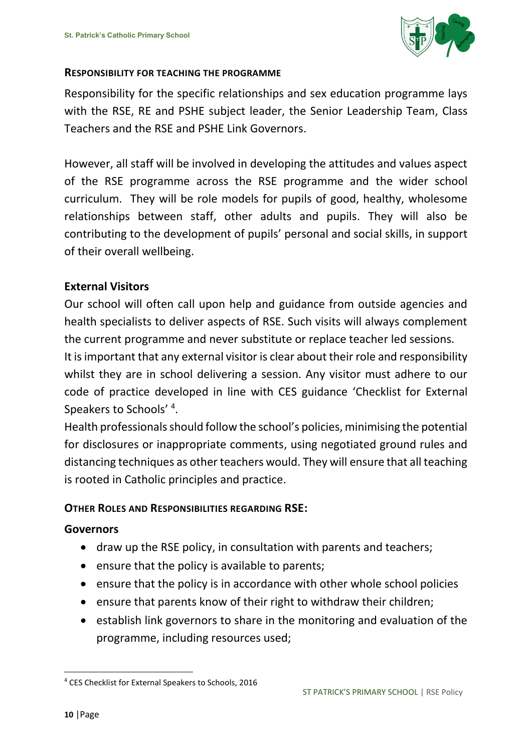

#### **RESPONSIBILITY FOR TEACHING THE PROGRAMME**

Responsibility for the specific relationships and sex education programme lays with the RSE, RE and PSHE subject leader, the Senior Leadership Team, Class Teachers and the RSE and PSHE Link Governors.

However, all staff will be involved in developing the attitudes and values aspect of the RSE programme across the RSE programme and the wider school curriculum. They will be role models for pupils of good, healthy, wholesome relationships between staff, other adults and pupils. They will also be contributing to the development of pupils' personal and social skills, in support of their overall wellbeing.

# **External Visitors**

Our school will often call upon help and guidance from outside agencies and health specialists to deliver aspects of RSE. Such visits will always complement the current programme and never substitute or replace teacher led sessions.

It is important that any external visitor is clear about their role and responsibility whilst they are in school delivering a session. Any visitor must adhere to our code of practice developed in line with CES guidance 'Checklist for External Speakers to Schools'<sup>4</sup>.

Health professionals should follow the school's policies, minimising the potential for disclosures or inappropriate comments, using negotiated ground rules and distancing techniques as other teachers would. They will ensure that all teaching is rooted in Catholic principles and practice.

#### **OTHER ROLES AND RESPONSIBILITIES REGARDING RSE:**

#### **Governors**

- draw up the RSE policy, in consultation with parents and teachers;
- ensure that the policy is available to parents;
- ensure that the policy is in accordance with other whole school policies
- ensure that parents know of their right to withdraw their children;
- establish link governors to share in the monitoring and evaluation of the programme, including resources used;

**.** 

<sup>4</sup> CES Checklist for External Speakers to Schools, 2016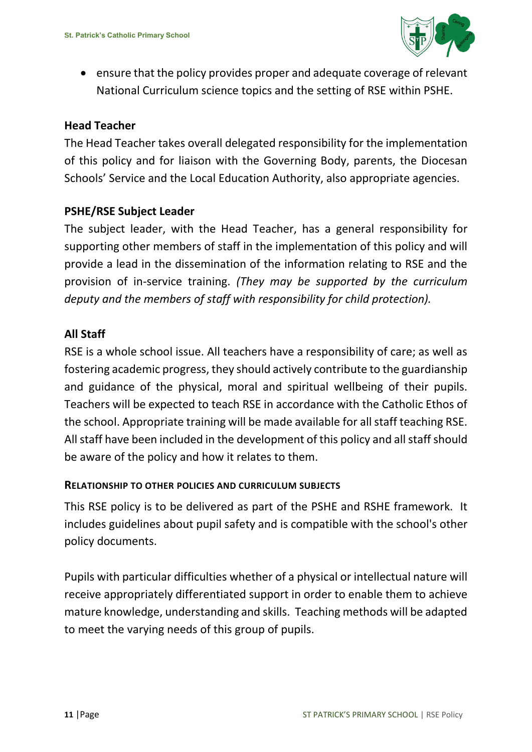

 ensure that the policy provides proper and adequate coverage of relevant National Curriculum science topics and the setting of RSE within PSHE.

# **Head Teacher**

The Head Teacher takes overall delegated responsibility for the implementation of this policy and for liaison with the Governing Body, parents, the Diocesan Schools' Service and the Local Education Authority, also appropriate agencies.

# **PSHE/RSE Subject Leader**

The subject leader, with the Head Teacher, has a general responsibility for supporting other members of staff in the implementation of this policy and will provide a lead in the dissemination of the information relating to RSE and the provision of in-service training. *(They may be supported by the curriculum deputy and the members of staff with responsibility for child protection).*

# **All Staff**

RSE is a whole school issue. All teachers have a responsibility of care; as well as fostering academic progress, they should actively contribute to the guardianship and guidance of the physical, moral and spiritual wellbeing of their pupils. Teachers will be expected to teach RSE in accordance with the Catholic Ethos of the school. Appropriate training will be made available for all staff teaching RSE. All staff have been included in the development of this policy and all staff should be aware of the policy and how it relates to them.

# **RELATIONSHIP TO OTHER POLICIES AND CURRICULUM SUBJECTS**

This RSE policy is to be delivered as part of the PSHE and RSHE framework. It includes guidelines about pupil safety and is compatible with the school's other policy documents.

Pupils with particular difficulties whether of a physical or intellectual nature will receive appropriately differentiated support in order to enable them to achieve mature knowledge, understanding and skills. Teaching methods will be adapted to meet the varying needs of this group of pupils.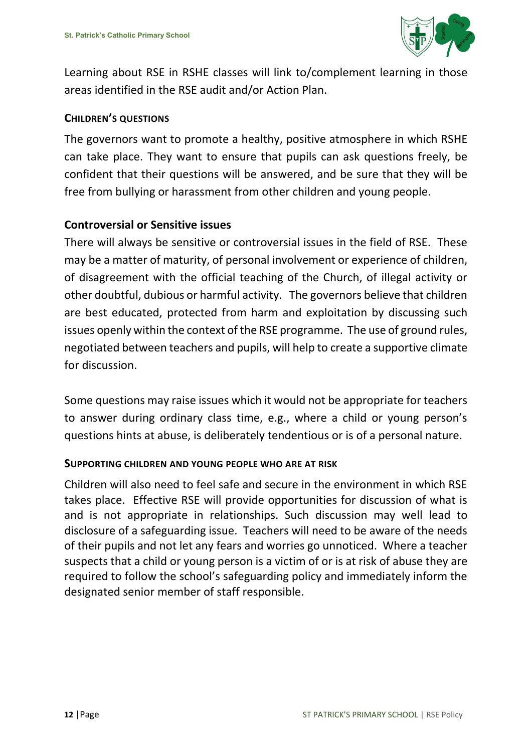

Learning about RSE in RSHE classes will link to/complement learning in those areas identified in the RSE audit and/or Action Plan.

## **CHILDREN'S QUESTIONS**

The governors want to promote a healthy, positive atmosphere in which RSHE can take place. They want to ensure that pupils can ask questions freely, be confident that their questions will be answered, and be sure that they will be free from bullying or harassment from other children and young people.

# **Controversial or Sensitive issues**

There will always be sensitive or controversial issues in the field of RSE. These may be a matter of maturity, of personal involvement or experience of children, of disagreement with the official teaching of the Church, of illegal activity or other doubtful, dubious or harmful activity. The governors believe that children are best educated, protected from harm and exploitation by discussing such issues openly within the context of the RSE programme. The use of ground rules, negotiated between teachers and pupils, will help to create a supportive climate for discussion.

Some questions may raise issues which it would not be appropriate for teachers to answer during ordinary class time, e.g., where a child or young person's questions hints at abuse, is deliberately tendentious or is of a personal nature.

#### **SUPPORTING CHILDREN AND YOUNG PEOPLE WHO ARE AT RISK**

Children will also need to feel safe and secure in the environment in which RSE takes place. Effective RSE will provide opportunities for discussion of what is and is not appropriate in relationships. Such discussion may well lead to disclosure of a safeguarding issue. Teachers will need to be aware of the needs of their pupils and not let any fears and worries go unnoticed. Where a teacher suspects that a child or young person is a victim of or is at risk of abuse they are required to follow the school's safeguarding policy and immediately inform the designated senior member of staff responsible.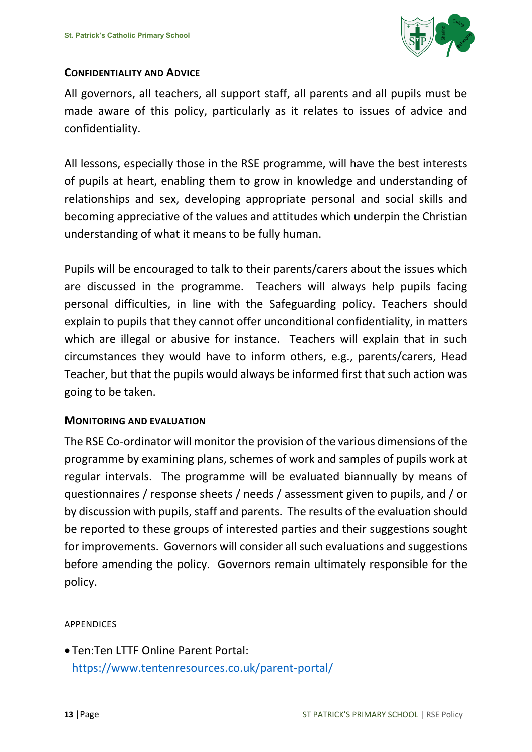

## **CONFIDENTIALITY AND ADVICE**

All governors, all teachers, all support staff, all parents and all pupils must be made aware of this policy, particularly as it relates to issues of advice and confidentiality.

All lessons, especially those in the RSE programme, will have the best interests of pupils at heart, enabling them to grow in knowledge and understanding of relationships and sex, developing appropriate personal and social skills and becoming appreciative of the values and attitudes which underpin the Christian understanding of what it means to be fully human.

Pupils will be encouraged to talk to their parents/carers about the issues which are discussed in the programme. Teachers will always help pupils facing personal difficulties, in line with the Safeguarding policy. Teachers should explain to pupils that they cannot offer unconditional confidentiality, in matters which are illegal or abusive for instance. Teachers will explain that in such circumstances they would have to inform others, e.g., parents/carers, Head Teacher, but that the pupils would always be informed first that such action was going to be taken.

# **MONITORING AND EVALUATION**

The RSE Co-ordinator will monitor the provision of the various dimensions of the programme by examining plans, schemes of work and samples of pupils work at regular intervals. The programme will be evaluated biannually by means of questionnaires / response sheets / needs / assessment given to pupils, and / or by discussion with pupils, staff and parents. The results of the evaluation should be reported to these groups of interested parties and their suggestions sought for improvements. Governors will consider all such evaluations and suggestions before amending the policy. Governors remain ultimately responsible for the policy.

#### APPENDICES

 Ten:Ten LTTF Online Parent Portal: <https://www.tentenresources.co.uk/parent-portal/>